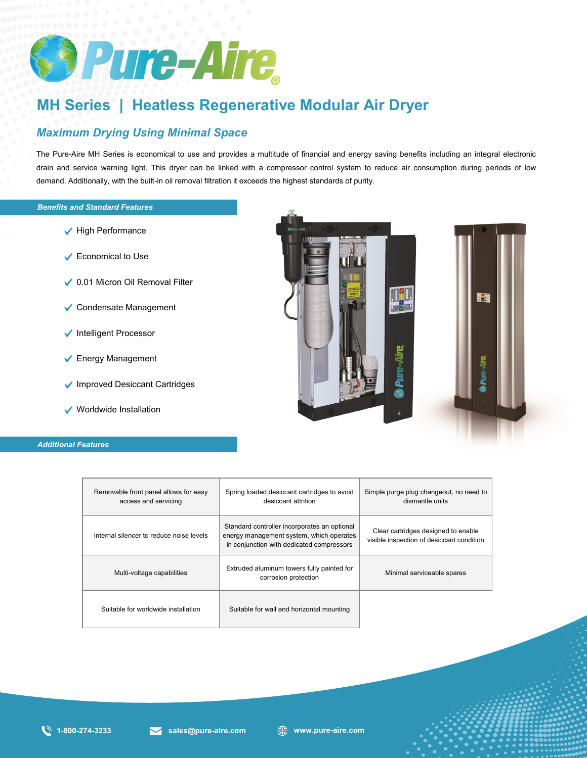

## **MH Series | Heatless Regenerative Modular Air Dryer**

## *Maximum Drying Using Minimal Space*

The Pure-Aire MH Series is economical to use and provides a multitude of financial and energy saving benefits including an integral electronic drain and service warning light. This dryer can be linked with a compressor control system to reduce air consumption during periods of low demand. Additionally, with the built-in oil removal filtration it exceeds the highest standards of purity.

## *Benefits and Standard Features Benefits and Standard Features*

- $\blacktriangleright$  High Performance
- Economical to Use
- ◆ 0.01 Micron Oil Removal Filter
- Condensate Management
- $\checkmark$  Intelligent Processor
- **►** Energy Management
- ◆ Improved Desiccant Cartridges
- Worldwide Installation

#### *Additional Features*



| Removable front panel allows for easy<br>access and servicing | Spring loaded desiccant cartridges to avoid<br>desiccant attrition                                                                    | Simple purge plug changeout, no need to<br>dismantle units                       |  |  |  |  |
|---------------------------------------------------------------|---------------------------------------------------------------------------------------------------------------------------------------|----------------------------------------------------------------------------------|--|--|--|--|
| Internal silencer to reduce noise levels                      | Standard controller incorporates an optional<br>energy management system, which operates<br>in conjunction with dedicated compressors | Clear cartridges designed to enable<br>visible inspection of desiccant condition |  |  |  |  |
| Multi-voltage capabilities                                    | Extruded aluminum towers fully painted for<br>corrosion protection                                                                    | Minimal serviceable spares                                                       |  |  |  |  |
| Suitable for worldwide installation                           | Suitable for wall and horizontal mounting                                                                                             |                                                                                  |  |  |  |  |